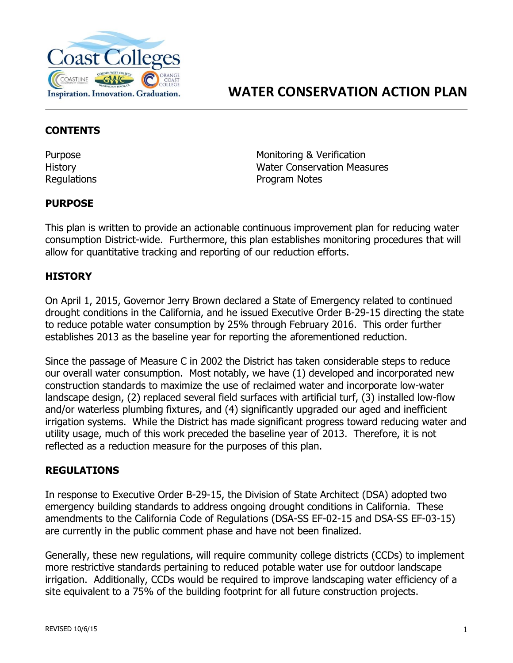

#### **CONTENTS**

Purpose **Monitoring & Verification** History Water Conservation Measures Regulations **Program Notes** 

## **PURPOSE**

This plan is written to provide an actionable continuous improvement plan for reducing water consumption District-wide. Furthermore, this plan establishes monitoring procedures that will allow for quantitative tracking and reporting of our reduction efforts.

# **HISTORY**

On April 1, 2015, Governor Jerry Brown declared a State of Emergency related to continued drought conditions in the California, and he issued Executive Order B-29-15 directing the state to reduce potable water consumption by 25% through February 2016. This order further establishes 2013 as the baseline year for reporting the aforementioned reduction.

Since the passage of Measure C in 2002 the District has taken considerable steps to reduce our overall water consumption. Most notably, we have (1) developed and incorporated new construction standards to maximize the use of reclaimed water and incorporate low-water landscape design, (2) replaced several field surfaces with artificial turf, (3) installed low-flow and/or waterless plumbing fixtures, and (4) significantly upgraded our aged and inefficient irrigation systems. While the District has made significant progress toward reducing water and utility usage, much of this work preceded the baseline year of 2013. Therefore, it is not reflected as a reduction measure for the purposes of this plan.

## **REGULATIONS**

In response to Executive Order B-29-15, the Division of State Architect (DSA) adopted two emergency building standards to address ongoing drought conditions in California. These amendments to the California Code of Regulations (DSA-SS EF-02-15 and DSA-SS EF-03-15) are currently in the public comment phase and have not been finalized.

Generally, these new regulations, will require community college districts (CCDs) to implement more restrictive standards pertaining to reduced potable water use for outdoor landscape irrigation. Additionally, CCDs would be required to improve landscaping water efficiency of a site equivalent to a 75% of the building footprint for all future construction projects.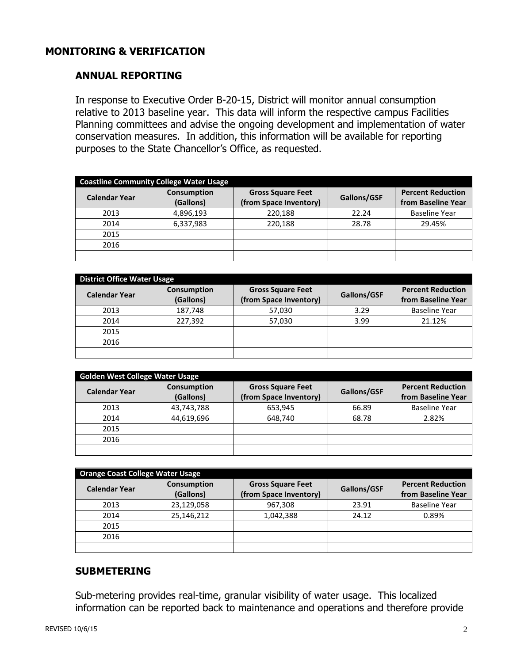# **MONITORING & VERIFICATION**

#### **ANNUAL REPORTING**

In response to Executive Order B-20-15, District will monitor annual consumption relative to 2013 baseline year. This data will inform the respective campus Facilities Planning committees and advise the ongoing development and implementation of water conservation measures. In addition, this information will be available for reporting purposes to the State Chancellor's Office, as requested.

| <b>Coastline Community College Water Usage</b> |                                 |                                                    |             |                                                |  |  |
|------------------------------------------------|---------------------------------|----------------------------------------------------|-------------|------------------------------------------------|--|--|
| <b>Calendar Year</b>                           | <b>Consumption</b><br>(Gallons) | <b>Gross Square Feet</b><br>(from Space Inventory) | Gallons/GSF | <b>Percent Reduction</b><br>from Baseline Year |  |  |
| 2013                                           | 4,896,193                       | 220,188                                            | 22.24       | <b>Baseline Year</b>                           |  |  |
| 2014                                           | 6,337,983                       | 220,188                                            | 28.78       | 29.45%                                         |  |  |
| 2015                                           |                                 |                                                    |             |                                                |  |  |
| 2016                                           |                                 |                                                    |             |                                                |  |  |
|                                                |                                 |                                                    |             |                                                |  |  |

| <b>District Office Water Usage</b> |                                 |                                                    |             |                                                |  |  |
|------------------------------------|---------------------------------|----------------------------------------------------|-------------|------------------------------------------------|--|--|
| <b>Calendar Year</b>               | <b>Consumption</b><br>(Gallons) | <b>Gross Square Feet</b><br>(from Space Inventory) | Gallons/GSF | <b>Percent Reduction</b><br>from Baseline Year |  |  |
| 2013                               | 187,748                         | 57,030                                             | 3.29        | <b>Baseline Year</b>                           |  |  |
| 2014                               | 227.392                         | 57,030                                             | 3.99        | 21.12%                                         |  |  |
| 2015                               |                                 |                                                    |             |                                                |  |  |
| 2016                               |                                 |                                                    |             |                                                |  |  |
|                                    |                                 |                                                    |             |                                                |  |  |

| <b>Golden West College Water Usage</b> |                                 |                                                    |             |                                                |  |
|----------------------------------------|---------------------------------|----------------------------------------------------|-------------|------------------------------------------------|--|
| <b>Calendar Year</b>                   | <b>Consumption</b><br>(Gallons) | <b>Gross Square Feet</b><br>(from Space Inventory) | Gallons/GSF | <b>Percent Reduction</b><br>from Baseline Year |  |
| 2013                                   | 43,743,788                      | 653,945                                            | 66.89       | <b>Baseline Year</b>                           |  |
| 2014                                   | 44,619,696                      | 648,740                                            | 68.78       | 2.82%                                          |  |
| 2015                                   |                                 |                                                    |             |                                                |  |
| 2016                                   |                                 |                                                    |             |                                                |  |
|                                        |                                 |                                                    |             |                                                |  |

| <b>Orange Coast College Water Usage</b> |                                 |                                                    |             |                                                |  |
|-----------------------------------------|---------------------------------|----------------------------------------------------|-------------|------------------------------------------------|--|
| <b>Calendar Year</b>                    | <b>Consumption</b><br>(Gallons) | <b>Gross Square Feet</b><br>(from Space Inventory) | Gallons/GSF | <b>Percent Reduction</b><br>from Baseline Year |  |
| 2013                                    | 23,129,058                      | 967,308                                            | 23.91       | <b>Baseline Year</b>                           |  |
| 2014                                    | 25,146,212                      | 1,042,388                                          | 24.12       | 0.89%                                          |  |
| 2015                                    |                                 |                                                    |             |                                                |  |
| 2016                                    |                                 |                                                    |             |                                                |  |
|                                         |                                 |                                                    |             |                                                |  |

## **SUBMETERING**

Sub-metering provides real-time, granular visibility of water usage. This localized information can be reported back to maintenance and operations and therefore provide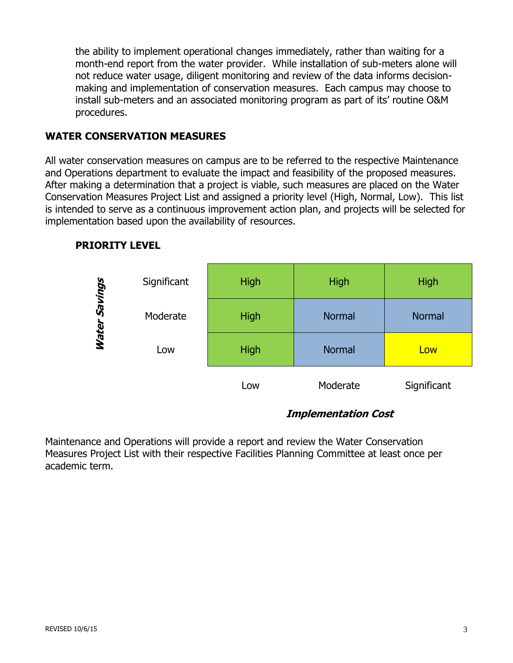the ability to implement operational changes immediately, rather than waiting for a month-end report from the water provider. While installation of sub-meters alone will not reduce water usage, diligent monitoring and review of the data informs decisionmaking and implementation of conservation measures. Each campus may choose to install sub-meters and an associated monitoring program as part of its' routine O&M procedures.

#### **WATER CONSERVATION MEASURES**

All water conservation measures on campus are to be referred to the respective Maintenance and Operations department to evaluate the impact and feasibility of the proposed measures. After making a determination that a project is viable, such measures are placed on the Water Conservation Measures Project List and assigned a priority level (High, Normal, Low). This list is intended to serve as a continuous improvement action plan, and projects will be selected for implementation based upon the availability of resources.

## **PRIORITY LEVEL**



## **Implementation Cost**

Maintenance and Operations will provide a report and review the Water Conservation Measures Project List with their respective Facilities Planning Committee at least once per academic term.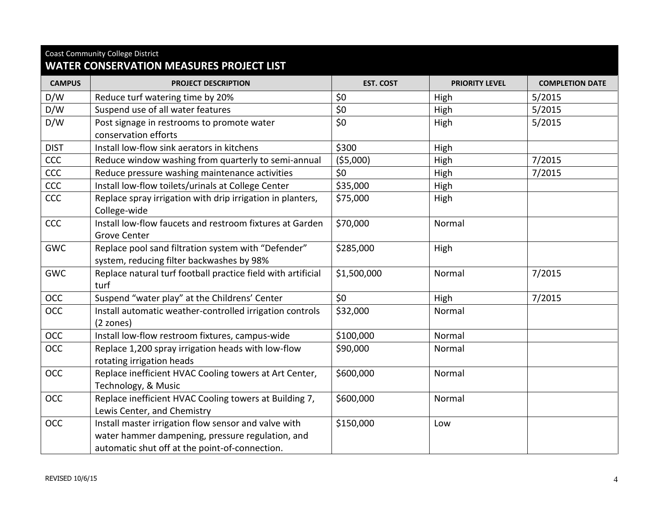| <b>Coast Community College District</b><br><b>WATER CONSERVATION MEASURES PROJECT LIST</b> |                                                                                                                                                            |                  |                       |                        |  |  |
|--------------------------------------------------------------------------------------------|------------------------------------------------------------------------------------------------------------------------------------------------------------|------------------|-----------------------|------------------------|--|--|
| <b>CAMPUS</b>                                                                              | <b>PROJECT DESCRIPTION</b>                                                                                                                                 | <b>EST. COST</b> | <b>PRIORITY LEVEL</b> | <b>COMPLETION DATE</b> |  |  |
| D/W                                                                                        | Reduce turf watering time by 20%                                                                                                                           | \$0              | High                  | 5/2015                 |  |  |
| D/W                                                                                        | Suspend use of all water features                                                                                                                          | \$0              | High                  | 5/2015                 |  |  |
| D/W                                                                                        | Post signage in restrooms to promote water                                                                                                                 | \$0\$            | High                  | 5/2015                 |  |  |
|                                                                                            | conservation efforts                                                                                                                                       |                  |                       |                        |  |  |
| <b>DIST</b>                                                                                | Install low-flow sink aerators in kitchens                                                                                                                 | \$300            | High                  |                        |  |  |
| CCC                                                                                        | Reduce window washing from quarterly to semi-annual                                                                                                        | (55,000)         | High                  | 7/2015                 |  |  |
| CCC                                                                                        | Reduce pressure washing maintenance activities                                                                                                             | \$0              | High                  | 7/2015                 |  |  |
| CCC                                                                                        | Install low-flow toilets/urinals at College Center                                                                                                         | \$35,000         | High                  |                        |  |  |
| CCC                                                                                        | Replace spray irrigation with drip irrigation in planters,<br>College-wide                                                                                 | \$75,000         | High                  |                        |  |  |
| CCC                                                                                        | Install low-flow faucets and restroom fixtures at Garden<br><b>Grove Center</b>                                                                            | \$70,000         | Normal                |                        |  |  |
| <b>GWC</b>                                                                                 | Replace pool sand filtration system with "Defender"<br>system, reducing filter backwashes by 98%                                                           | \$285,000        | High                  |                        |  |  |
| <b>GWC</b>                                                                                 | Replace natural turf football practice field with artificial<br>turf                                                                                       | \$1,500,000      | Normal                | 7/2015                 |  |  |
| <b>OCC</b>                                                                                 | Suspend "water play" at the Childrens' Center                                                                                                              | \$0              | High                  | 7/2015                 |  |  |
| <b>OCC</b>                                                                                 | Install automatic weather-controlled irrigation controls<br>(2 zones)                                                                                      | \$32,000         | Normal                |                        |  |  |
| <b>OCC</b>                                                                                 | Install low-flow restroom fixtures, campus-wide                                                                                                            | \$100,000        | Normal                |                        |  |  |
| OCC                                                                                        | Replace 1,200 spray irrigation heads with low-flow<br>rotating irrigation heads                                                                            | \$90,000         | Normal                |                        |  |  |
| OCC                                                                                        | Replace inefficient HVAC Cooling towers at Art Center,<br>Technology, & Music                                                                              | \$600,000        | Normal                |                        |  |  |
| <b>OCC</b>                                                                                 | Replace inefficient HVAC Cooling towers at Building 7,<br>Lewis Center, and Chemistry                                                                      | \$600,000        | Normal                |                        |  |  |
| <b>OCC</b>                                                                                 | Install master irrigation flow sensor and valve with<br>water hammer dampening, pressure regulation, and<br>automatic shut off at the point-of-connection. | \$150,000        | Low                   |                        |  |  |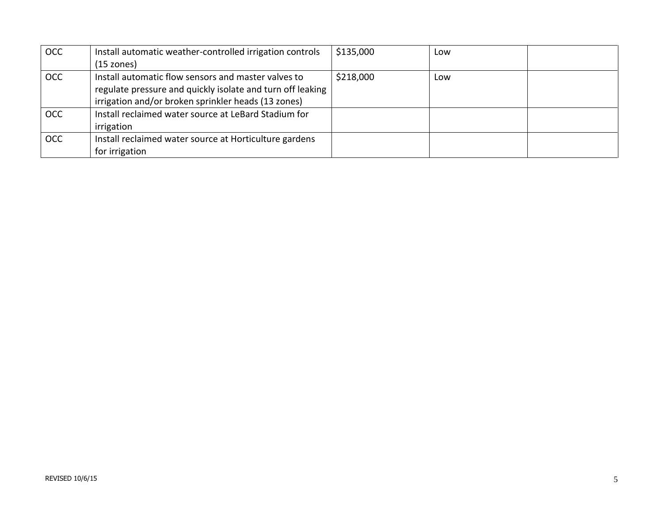| <b>OCC</b> | Install automatic weather-controlled irrigation controls   | \$135,000 | Low |  |
|------------|------------------------------------------------------------|-----------|-----|--|
|            | $(15 \text{ zones})$                                       |           |     |  |
| <b>OCC</b> | Install automatic flow sensors and master valves to        | \$218,000 | Low |  |
|            | regulate pressure and quickly isolate and turn off leaking |           |     |  |
|            | irrigation and/or broken sprinkler heads (13 zones)        |           |     |  |
| <b>OCC</b> | Install reclaimed water source at LeBard Stadium for       |           |     |  |
|            | irrigation                                                 |           |     |  |
| <b>OCC</b> | Install reclaimed water source at Horticulture gardens     |           |     |  |
|            | for irrigation                                             |           |     |  |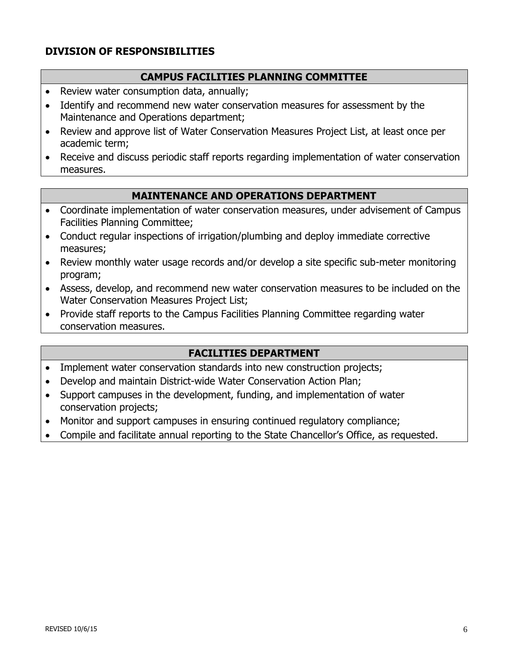# **DIVISION OF RESPONSIBILITIES**

#### **CAMPUS FACILITIES PLANNING COMMITTEE**

- Review water consumption data, annually;
- Identify and recommend new water conservation measures for assessment by the Maintenance and Operations department;
- Review and approve list of Water Conservation Measures Project List, at least once per academic term;
- Receive and discuss periodic staff reports regarding implementation of water conservation measures.

#### **MAINTENANCE AND OPERATIONS DEPARTMENT**

- Coordinate implementation of water conservation measures, under advisement of Campus Facilities Planning Committee;
- Conduct regular inspections of irrigation/plumbing and deploy immediate corrective measures;
- Review monthly water usage records and/or develop a site specific sub-meter monitoring program;
- Assess, develop, and recommend new water conservation measures to be included on the Water Conservation Measures Project List;
- Provide staff reports to the Campus Facilities Planning Committee regarding water conservation measures.

#### **FACILITIES DEPARTMENT**

- Implement water conservation standards into new construction projects;
- Develop and maintain District-wide Water Conservation Action Plan;
- Support campuses in the development, funding, and implementation of water conservation projects;
- Monitor and support campuses in ensuring continued regulatory compliance;
- Compile and facilitate annual reporting to the State Chancellor's Office, as requested.